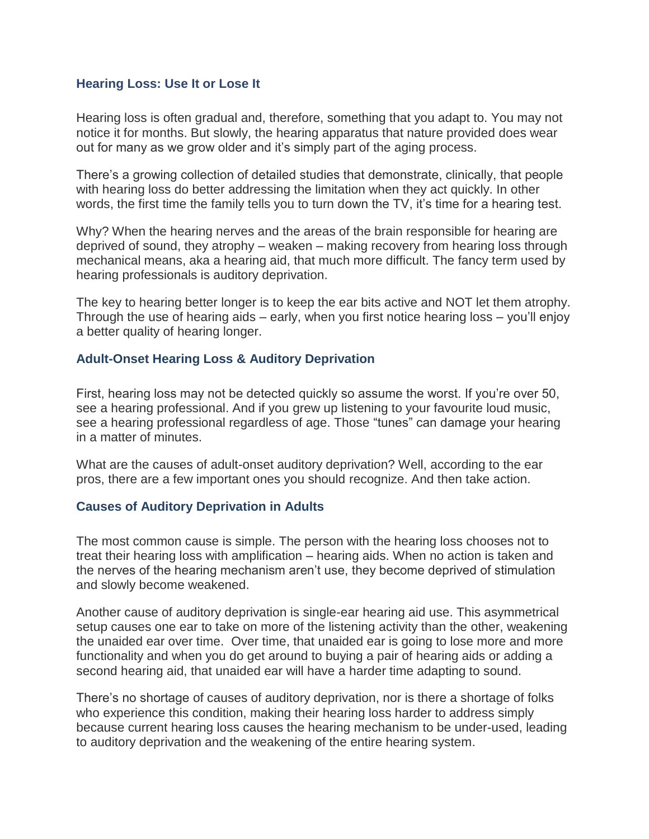#### **Hearing Loss: Use It or Lose It**

Hearing loss is often gradual and, therefore, something that you adapt to. You may not notice it for months. But slowly, the hearing apparatus that nature provided does wear out for many as we grow older and it's simply part of the aging process.

There's a growing collection of detailed studies that demonstrate, clinically, that people with hearing loss do better addressing the limitation when they act quickly. In other words, the first time the family tells you to turn down the TV, it's time for a hearing test.

Why? When the hearing nerves and the areas of the brain responsible for hearing are deprived of sound, they atrophy – weaken – making recovery from hearing loss through mechanical means, aka a hearing aid, that much more difficult. The fancy term used by hearing professionals is auditory deprivation.

The key to hearing better longer is to keep the ear bits active and NOT let them atrophy. Through the use of hearing aids – early, when you first notice hearing loss – you'll enjoy a better quality of hearing longer.

#### **Adult-Onset Hearing Loss & Auditory Deprivation**

First, hearing loss may not be detected quickly so assume the worst. If you're over 50, see a hearing professional. And if you grew up listening to your favourite loud music, see a hearing professional regardless of age. Those "tunes" can damage your hearing in a matter of minutes.

What are the causes of adult-onset auditory deprivation? Well, according to the ear pros, there are a few important ones you should recognize. And then take action.

#### **Causes of Auditory Deprivation in Adults**

The most common cause is simple. The person with the hearing loss chooses not to treat their hearing loss with amplification – hearing aids. When no action is taken and the nerves of the hearing mechanism aren't use, they become deprived of stimulation and slowly become weakened.

Another cause of auditory deprivation is single-ear hearing aid use. This asymmetrical setup causes one ear to take on more of the listening activity than the other, weakening the unaided ear over time. Over time, that unaided ear is going to lose more and more functionality and when you do get around to buying a pair of hearing aids or adding a second hearing aid, that unaided ear will have a harder time adapting to sound.

There's no shortage of causes of auditory deprivation, nor is there a shortage of folks who experience this condition, making their hearing loss harder to address simply because current hearing loss causes the hearing mechanism to be under-used, leading to auditory deprivation and the weakening of the entire hearing system.